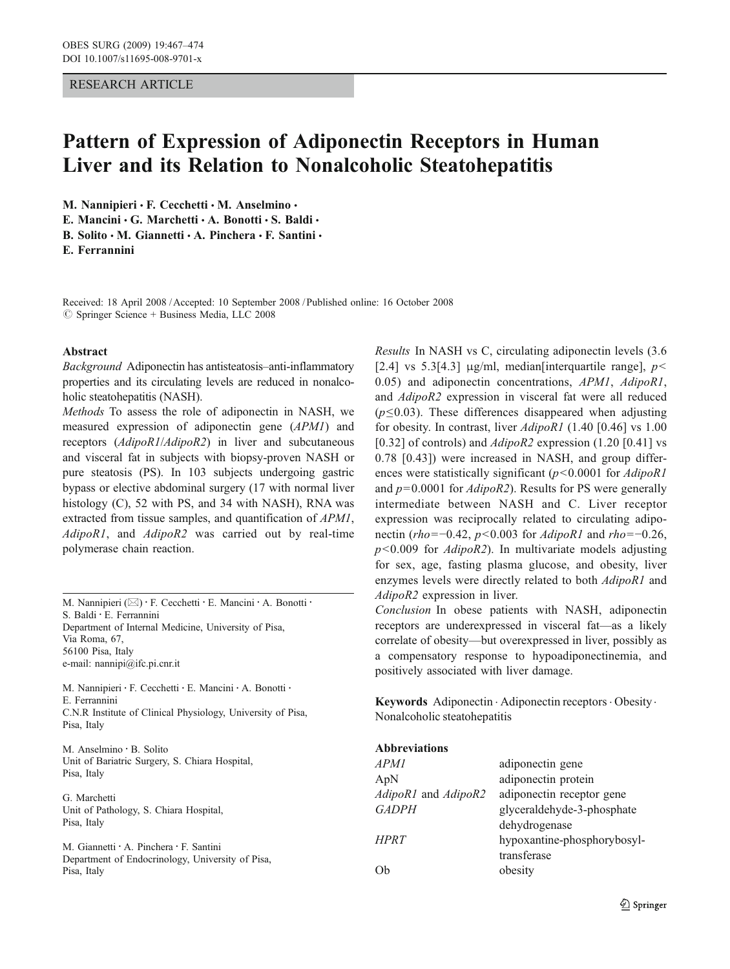## RESEARCH ARTICLE

# Pattern of Expression of Adiponectin Receptors in Human Liver and its Relation to Nonalcoholic Steatohepatitis

M. Nannipieri · F. Cecchetti · M. Anselmino ·

E. Mancini · G. Marchetti · A. Bonotti · S. Baldi ·

B. Solito  $\cdot$  M. Giannetti  $\cdot$  A. Pinchera  $\cdot$  F. Santini  $\cdot$ 

E. Ferrannini

Received: 18 April 2008 /Accepted: 10 September 2008 / Published online: 16 October 2008  $\oslash$  Springer Science + Business Media, LLC 2008

#### Abstract

Background Adiponectin has antisteatosis–anti-inflammatory properties and its circulating levels are reduced in nonalcoholic steatohepatitis (NASH).

Methods To assess the role of adiponectin in NASH, we measured expression of adiponectin gene (APM1) and receptors (AdipoR1/AdipoR2) in liver and subcutaneous and visceral fat in subjects with biopsy-proven NASH or pure steatosis (PS). In 103 subjects undergoing gastric bypass or elective abdominal surgery (17 with normal liver histology (C), 52 with PS, and 34 with NASH), RNA was extracted from tissue samples, and quantification of APM1, AdipoR1, and AdipoR2 was carried out by real-time polymerase chain reaction.

M. Nannipieri (⊠) · F. Cecchetti · E. Mancini · A. Bonotti · S. Baldi : E. Ferrannini Department of Internal Medicine, University of Pisa, Via Roma, 67, 56100 Pisa, Italy e-mail: nannipi@ifc.pi.cnr.it

M. Nannipieri : F. Cecchetti : E. Mancini : A. Bonotti : E. Ferrannini C.N.R Institute of Clinical Physiology, University of Pisa, Pisa, Italy

M. Anselmino : B. Solito Unit of Bariatric Surgery, S. Chiara Hospital, Pisa, Italy

G. Marchetti Unit of Pathology, S. Chiara Hospital, Pisa, Italy

M. Giannetti : A. Pinchera : F. Santini Department of Endocrinology, University of Pisa, Pisa, Italy

Results In NASH vs C, circulating adiponectin levels (3.6 [2.4] vs 5.3[4.3]  $\mu$ g/ml, median[interquartile range], p< 0.05) and adiponectin concentrations, APM1, AdipoR1, and AdipoR2 expression in visceral fat were all reduced  $(p \le 0.03)$ . These differences disappeared when adjusting for obesity. In contrast, liver AdipoR1 (1.40 [0.46] vs 1.00 [0.32] of controls) and  $AdipoR2$  expression (1.20 [0.41] vs 0.78 [0.43]) were increased in NASH, and group differences were statistically significant  $(p<0.0001$  for  $AdipoRI$ and  $p=0.0001$  for  $AdipoR2$ ). Results for PS were generally intermediate between NASH and C. Liver receptor expression was reciprocally related to circulating adiponectin (rho=−0.42, p<0.003 for AdipoR1 and rho=−0.26,  $p<0.009$  for  $AdipoR2$ ). In multivariate models adjusting for sex, age, fasting plasma glucose, and obesity, liver enzymes levels were directly related to both AdipoR1 and AdipoR2 expression in liver.

Conclusion In obese patients with NASH, adiponectin receptors are underexpressed in visceral fat—as a likely correlate of obesity—but overexpressed in liver, possibly as a compensatory response to hypoadiponectinemia, and positively associated with liver damage.

Keywords Adiponectin . Adiponectin receptors . Obesity . Nonalcoholic steatohepatitis

| <b>Abbreviations</b> |                             |
|----------------------|-----------------------------|
| APM1                 | adiponectin gene            |
| ApN                  | adiponectin protein         |
| AdipoR1 and AdipoR2  | adiponectin receptor gene   |
| <b>GADPH</b>         | glyceraldehyde-3-phosphate  |
|                      | dehydrogenase               |
| <b>HPRT</b>          | hypoxantine-phosphorybosyl- |
|                      | transferase                 |
| Ob                   | obesity                     |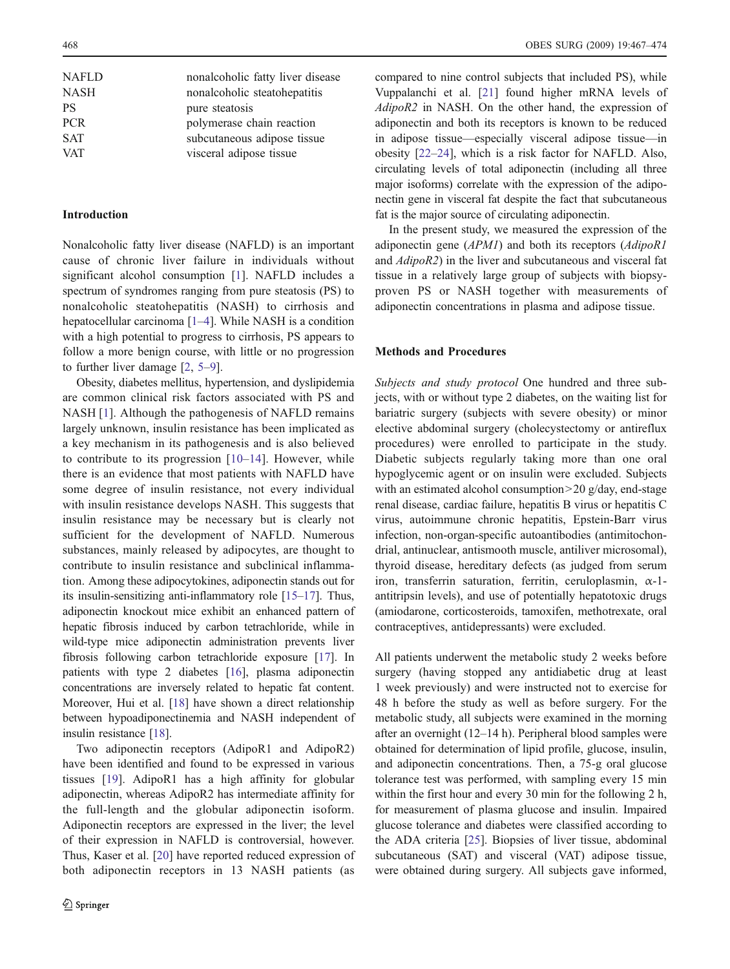| <b>NAFLD</b> | nonalcoholic fatty liver disease |
|--------------|----------------------------------|
| <b>NASH</b>  | nonalcoholic steatohepatitis     |
| <b>PS</b>    | pure steatosis                   |
| <b>PCR</b>   | polymerase chain reaction        |
| <b>SAT</b>   | subcutaneous adipose tissue      |
| <b>VAT</b>   | visceral adipose tissue          |
|              |                                  |

## Introduction

Nonalcoholic fatty liver disease (NAFLD) is an important cause of chronic liver failure in individuals without significant alcohol consumption [\[1](#page-7-0)]. NAFLD includes a spectrum of syndromes ranging from pure steatosis (PS) to nonalcoholic steatohepatitis (NASH) to cirrhosis and hepatocellular carcinoma [\[1](#page-7-0)–[4](#page-7-0)]. While NASH is a condition with a high potential to progress to cirrhosis, PS appears to follow a more benign course, with little or no progression to further liver damage [[2,](#page-7-0) [5](#page-7-0)–[9](#page-7-0)].

Obesity, diabetes mellitus, hypertension, and dyslipidemia are common clinical risk factors associated with PS and NASH [[1](#page-7-0)]. Although the pathogenesis of NAFLD remains largely unknown, insulin resistance has been implicated as a key mechanism in its pathogenesis and is also believed to contribute to its progression  $[10-14]$  $[10-14]$  $[10-14]$ . However, while there is an evidence that most patients with NAFLD have some degree of insulin resistance, not every individual with insulin resistance develops NASH. This suggests that insulin resistance may be necessary but is clearly not sufficient for the development of NAFLD. Numerous substances, mainly released by adipocytes, are thought to contribute to insulin resistance and subclinical inflammation. Among these adipocytokines, adiponectin stands out for its insulin-sensitizing anti-inflammatory role [\[15](#page-7-0)–[17](#page-7-0)]. Thus, adiponectin knockout mice exhibit an enhanced pattern of hepatic fibrosis induced by carbon tetrachloride, while in wild-type mice adiponectin administration prevents liver fibrosis following carbon tetrachloride exposure [[17\]](#page-7-0). In patients with type 2 diabetes [\[16](#page-7-0)], plasma adiponectin concentrations are inversely related to hepatic fat content. Moreover, Hui et al. [\[18\]](#page-7-0) have shown a direct relationship between hypoadiponectinemia and NASH independent of insulin resistance [\[18\]](#page-7-0).

Two adiponectin receptors (AdipoR1 and AdipoR2) have been identified and found to be expressed in various tissues [[19\]](#page-7-0). AdipoR1 has a high affinity for globular adiponectin, whereas AdipoR2 has intermediate affinity for the full-length and the globular adiponectin isoform. Adiponectin receptors are expressed in the liver; the level of their expression in NAFLD is controversial, however. Thus, Kaser et al. [[20\]](#page-7-0) have reported reduced expression of both adiponectin receptors in 13 NASH patients (as

compared to nine control subjects that included PS), while Vuppalanchi et al. [[21\]](#page-7-0) found higher mRNA levels of AdipoR2 in NASH. On the other hand, the expression of adiponectin and both its receptors is known to be reduced in adipose tissue—especially visceral adipose tissue—in obesity [[22](#page-7-0)–[24\]](#page-7-0), which is a risk factor for NAFLD. Also, circulating levels of total adiponectin (including all three major isoforms) correlate with the expression of the adiponectin gene in visceral fat despite the fact that subcutaneous fat is the major source of circulating adiponectin.

In the present study, we measured the expression of the adiponectin gene (APM1) and both its receptors (AdipoR1 and AdipoR2) in the liver and subcutaneous and visceral fat tissue in a relatively large group of subjects with biopsyproven PS or NASH together with measurements of adiponectin concentrations in plasma and adipose tissue.

## Methods and Procedures

Subjects and study protocol One hundred and three subjects, with or without type 2 diabetes, on the waiting list for bariatric surgery (subjects with severe obesity) or minor elective abdominal surgery (cholecystectomy or antireflux procedures) were enrolled to participate in the study. Diabetic subjects regularly taking more than one oral hypoglycemic agent or on insulin were excluded. Subjects with an estimated alcohol consumption>20 g/day, end-stage renal disease, cardiac failure, hepatitis B virus or hepatitis C virus, autoimmune chronic hepatitis, Epstein-Barr virus infection, non-organ-specific autoantibodies (antimitochondrial, antinuclear, antismooth muscle, antiliver microsomal), thyroid disease, hereditary defects (as judged from serum iron, transferrin saturation, ferritin, ceruloplasmin, α-1 antitripsin levels), and use of potentially hepatotoxic drugs (amiodarone, corticosteroids, tamoxifen, methotrexate, oral contraceptives, antidepressants) were excluded.

All patients underwent the metabolic study 2 weeks before surgery (having stopped any antidiabetic drug at least 1 week previously) and were instructed not to exercise for 48 h before the study as well as before surgery. For the metabolic study, all subjects were examined in the morning after an overnight (12–14 h). Peripheral blood samples were obtained for determination of lipid profile, glucose, insulin, and adiponectin concentrations. Then, a 75-g oral glucose tolerance test was performed, with sampling every 15 min within the first hour and every 30 min for the following 2 h, for measurement of plasma glucose and insulin. Impaired glucose tolerance and diabetes were classified according to the ADA criteria [\[25](#page-7-0)]. Biopsies of liver tissue, abdominal subcutaneous (SAT) and visceral (VAT) adipose tissue, were obtained during surgery. All subjects gave informed,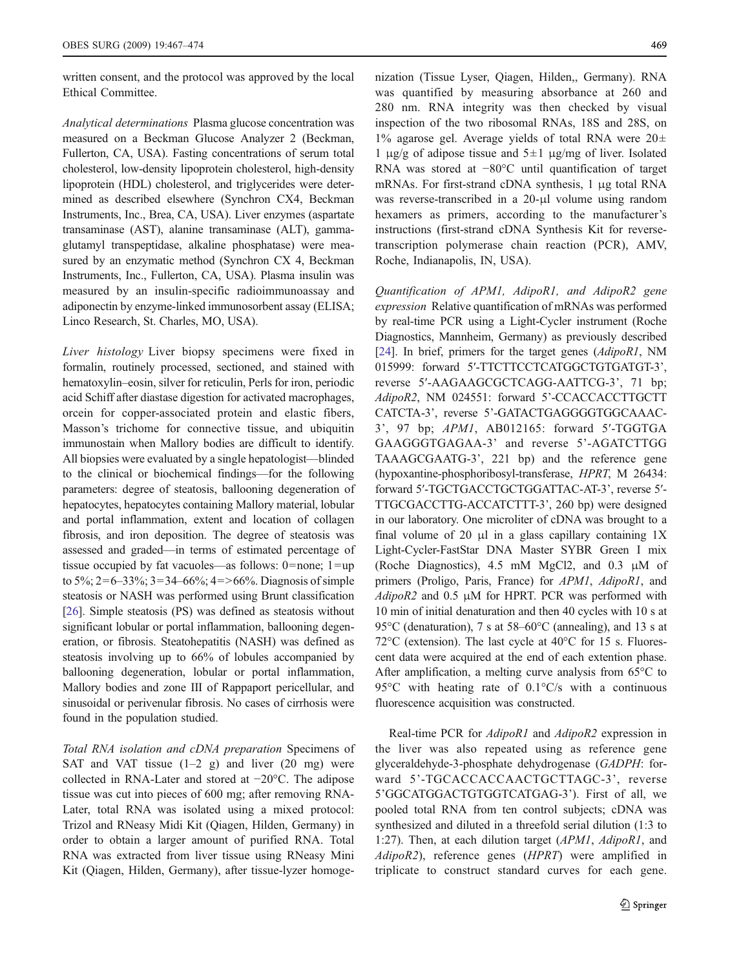written consent, and the protocol was approved by the local Ethical Committee.

Analytical determinations Plasma glucose concentration was measured on a Beckman Glucose Analyzer 2 (Beckman, Fullerton, CA, USA). Fasting concentrations of serum total cholesterol, low-density lipoprotein cholesterol, high-density lipoprotein (HDL) cholesterol, and triglycerides were determined as described elsewhere (Synchron CX4, Beckman Instruments, Inc., Brea, CA, USA). Liver enzymes (aspartate transaminase (AST), alanine transaminase (ALT), gammaglutamyl transpeptidase, alkaline phosphatase) were measured by an enzymatic method (Synchron CX 4, Beckman Instruments, Inc., Fullerton, CA, USA). Plasma insulin was measured by an insulin-specific radioimmunoassay and adiponectin by enzyme-linked immunosorbent assay (ELISA; Linco Research, St. Charles, MO, USA).

Liver histology Liver biopsy specimens were fixed in formalin, routinely processed, sectioned, and stained with hematoxylin–eosin, silver for reticulin, Perls for iron, periodic acid Schiff after diastase digestion for activated macrophages, orcein for copper-associated protein and elastic fibers, Masson's trichome for connective tissue, and ubiquitin immunostain when Mallory bodies are difficult to identify. All biopsies were evaluated by a single hepatologist—blinded to the clinical or biochemical findings—for the following parameters: degree of steatosis, ballooning degeneration of hepatocytes, hepatocytes containing Mallory material, lobular and portal inflammation, extent and location of collagen fibrosis, and iron deposition. The degree of steatosis was assessed and graded—in terms of estimated percentage of tissue occupied by fat vacuoles—as follows: 0=none; 1=up to 5%; 2=6–33%; 3=34–66%; 4=>66%. Diagnosis of simple steatosis or NASH was performed using Brunt classification [\[26\]](#page-7-0). Simple steatosis (PS) was defined as steatosis without significant lobular or portal inflammation, ballooning degeneration, or fibrosis. Steatohepatitis (NASH) was defined as steatosis involving up to 66% of lobules accompanied by ballooning degeneration, lobular or portal inflammation, Mallory bodies and zone III of Rappaport pericellular, and sinusoidal or perivenular fibrosis. No cases of cirrhosis were found in the population studied.

Total RNA isolation and cDNA preparation Specimens of SAT and VAT tissue  $(1-2 \text{ g})$  and liver  $(20 \text{ mg})$  were collected in RNA-Later and stored at −20°C. The adipose tissue was cut into pieces of 600 mg; after removing RNA-Later, total RNA was isolated using a mixed protocol: Trizol and RNeasy Midi Kit (Qiagen, Hilden, Germany) in order to obtain a larger amount of purified RNA. Total RNA was extracted from liver tissue using RNeasy Mini Kit (Qiagen, Hilden, Germany), after tissue-lyzer homogenization (Tissue Lyser, Qiagen, Hilden,, Germany). RNA was quantified by measuring absorbance at 260 and 280 nm. RNA integrity was then checked by visual inspection of the two ribosomal RNAs, 18S and 28S, on  $1\%$  agarose gel. Average yields of total RNA were  $20\pm$ 1 μg/g of adipose tissue and 5±1 μg/mg of liver. Isolated RNA was stored at −80°C until quantification of target mRNAs. For first-strand cDNA synthesis, 1 μg total RNA was reverse-transcribed in a 20-μl volume using random hexamers as primers, according to the manufacturer's instructions (first-strand cDNA Synthesis Kit for reversetranscription polymerase chain reaction (PCR), AMV, Roche, Indianapolis, IN, USA).

Quantification of APM1, AdipoR1, and AdipoR2 gene expression Relative quantification of mRNAs was performed by real-time PCR using a Light-Cycler instrument (Roche Diagnostics, Mannheim, Germany) as previously described [\[24](#page-7-0)]. In brief, primers for the target genes (AdipoR1, NM 015999: forward 5'-TTCTTCCTCATGGCTGTGATGT-3', reverse 5′-AAGAAGCGCTCAGG-AATTCG-3', 71 bp; AdipoR2, NM 024551: forward 5'-CCACCACCTTGCTT CATCTA-3', reverse 5'-GATACTGAGGGGTGGCAAAC-3', 97 bp; APM1, AB012165: forward 5′-TGGTGA GAAGGGTGAGAA-3' and reverse 5'-AGATCTTGG TAAAGCGAATG-3', 221 bp) and the reference gene (hypoxantine-phosphoribosyl-transferase, HPRT, M 26434: forward 5′-TGCTGACCTGCTGGATTAC-AT-3', reverse 5′- TTGCGACCTTG-ACCATCTTT-3', 260 bp) were designed in our laboratory. One microliter of cDNA was brought to a final volume of 20  $\mu$ l in a glass capillary containing 1X Light-Cycler-FastStar DNA Master SYBR Green I mix (Roche Diagnostics), 4.5 mM MgCl2, and 0.3 μM of primers (Proligo, Paris, France) for APM1, AdipoR1, and  $AdipoR2$  and 0.5  $\mu$ M for HPRT. PCR was performed with 10 min of initial denaturation and then 40 cycles with 10 s at 95°C (denaturation), 7 s at 58–60°C (annealing), and 13 s at 72°C (extension). The last cycle at 40°C for 15 s. Fluorescent data were acquired at the end of each extention phase. After amplification, a melting curve analysis from 65°C to 95°C with heating rate of 0.1°C/s with a continuous fluorescence acquisition was constructed.

Real-time PCR for AdipoR1 and AdipoR2 expression in the liver was also repeated using as reference gene glyceraldehyde-3-phosphate dehydrogenase (GADPH: forward 5'-TGCACCACCAACTGCTTAGC-3', reverse 5'GGCATGGACTGTGGTCATGAG-3'). First of all, we pooled total RNA from ten control subjects; cDNA was synthesized and diluted in a threefold serial dilution (1:3 to 1:27). Then, at each dilution target (APM1, AdipoR1, and AdipoR2), reference genes (HPRT) were amplified in triplicate to construct standard curves for each gene.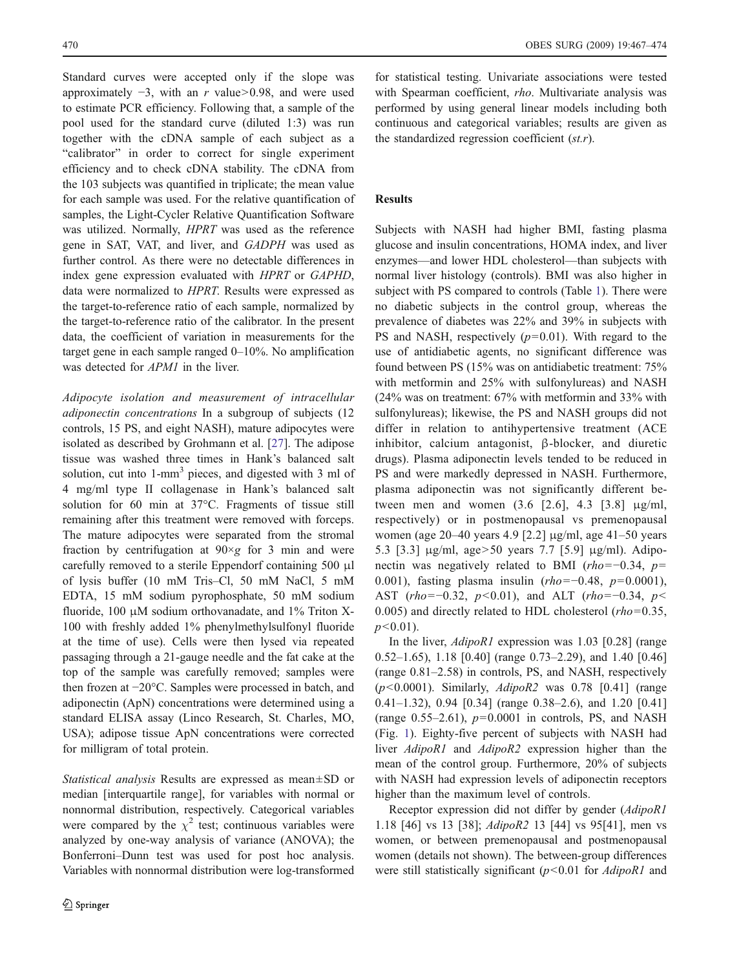Standard curves were accepted only if the slope was approximately  $-3$ , with an r value>0.98, and were used to estimate PCR efficiency. Following that, a sample of the pool used for the standard curve (diluted 1:3) was run together with the cDNA sample of each subject as a "calibrator" in order to correct for single experiment efficiency and to check cDNA stability. The cDNA from the 103 subjects was quantified in triplicate; the mean value for each sample was used. For the relative quantification of samples, the Light-Cycler Relative Quantification Software was utilized. Normally, HPRT was used as the reference gene in SAT, VAT, and liver, and GADPH was used as further control. As there were no detectable differences in index gene expression evaluated with HPRT or GAPHD, data were normalized to HPRT. Results were expressed as the target-to-reference ratio of each sample, normalized by the target-to-reference ratio of the calibrator. In the present data, the coefficient of variation in measurements for the target gene in each sample ranged 0–10%. No amplification was detected for APM1 in the liver.

Adipocyte isolation and measurement of intracellular adiponectin concentrations In a subgroup of subjects (12 controls, 15 PS, and eight NASH), mature adipocytes were isolated as described by Grohmann et al. [[27\]](#page-7-0). The adipose tissue was washed three times in Hank's balanced salt solution, cut into 1-mm<sup>3</sup> pieces, and digested with 3 ml of 4 mg/ml type II collagenase in Hank's balanced salt solution for 60 min at 37°C. Fragments of tissue still remaining after this treatment were removed with forceps. The mature adipocytes were separated from the stromal fraction by centrifugation at  $90 \times g$  for 3 min and were carefully removed to a sterile Eppendorf containing 500 μl of lysis buffer (10 mM Tris–Cl, 50 mM NaCl, 5 mM EDTA, 15 mM sodium pyrophosphate, 50 mM sodium fluoride, 100 μM sodium orthovanadate, and 1% Triton X-100 with freshly added 1% phenylmethylsulfonyl fluoride at the time of use). Cells were then lysed via repeated passaging through a 21-gauge needle and the fat cake at the top of the sample was carefully removed; samples were then frozen at −20°C. Samples were processed in batch, and adiponectin (ApN) concentrations were determined using a standard ELISA assay (Linco Research, St. Charles, MO, USA); adipose tissue ApN concentrations were corrected for milligram of total protein.

Statistical analysis Results are expressed as mean±SD or median [interquartile range], for variables with normal or nonnormal distribution, respectively. Categorical variables were compared by the  $\chi^2$  test; continuous variables were analyzed by one-way analysis of variance (ANOVA); the Bonferroni–Dunn test was used for post hoc analysis. Variables with nonnormal distribution were log-transformed

for statistical testing. Univariate associations were tested with Spearman coefficient, rho. Multivariate analysis was performed by using general linear models including both continuous and categorical variables; results are given as the standardized regression coefficient  $(st.r)$ .

## Results

Subjects with NASH had higher BMI, fasting plasma glucose and insulin concentrations, HOMA index, and liver enzymes—and lower HDL cholesterol—than subjects with normal liver histology (controls). BMI was also higher in subject with PS compared to controls (Table [1\)](#page-4-0). There were no diabetic subjects in the control group, whereas the prevalence of diabetes was 22% and 39% in subjects with PS and NASH, respectively  $(p=0.01)$ . With regard to the use of antidiabetic agents, no significant difference was found between PS (15% was on antidiabetic treatment: 75% with metformin and 25% with sulfonylureas) and NASH (24% was on treatment: 67% with metformin and 33% with sulfonylureas); likewise, the PS and NASH groups did not differ in relation to antihypertensive treatment (ACE inhibitor, calcium antagonist, β-blocker, and diuretic drugs). Plasma adiponectin levels tended to be reduced in PS and were markedly depressed in NASH. Furthermore, plasma adiponectin was not significantly different between men and women (3.6 [2.6], 4.3 [3.8] μg/ml, respectively) or in postmenopausal vs premenopausal women (age 20–40 years 4.9 [2.2] μg/ml, age 41–50 years 5.3 [3.3] μg/ml, age>50 years 7.7 [5.9] μg/ml). Adiponectin was negatively related to BMI (rho=−0.34,  $p=$ 0.001), fasting plasma insulin (rho=−0.48, p=0.0001), AST (rho=−0.32, p<0.01), and ALT (rho=−0.34, p< 0.005) and directly related to HDL cholesterol  $(rho=0.35,$  $p<0.01$ ).

In the liver, AdipoR1 expression was 1.03 [0.28] (range 0.52–1.65), 1.18 [0.40] (range 0.73–2.29), and 1.40 [0.46] (range 0.81–2.58) in controls, PS, and NASH, respectively  $(p<0.0001)$ . Similarly, AdipoR2 was 0.78 [0.41] (range 0.41–1.32), 0.94 [0.34] (range 0.38–2.6), and 1.20 [0.41] (range 0.55–2.61),  $p=0.0001$  in controls, PS, and NASH (Fig. [1\)](#page-4-0). Eighty-five percent of subjects with NASH had liver *AdipoR1* and *AdipoR2* expression higher than the mean of the control group. Furthermore, 20% of subjects with NASH had expression levels of adiponectin receptors higher than the maximum level of controls.

Receptor expression did not differ by gender (AdipoR1 1.18 [46] vs 13 [38]; AdipoR2 13 [44] vs 95[41], men vs women, or between premenopausal and postmenopausal women (details not shown). The between-group differences were still statistically significant  $(p<0.01$  for  $AdipoRI$  and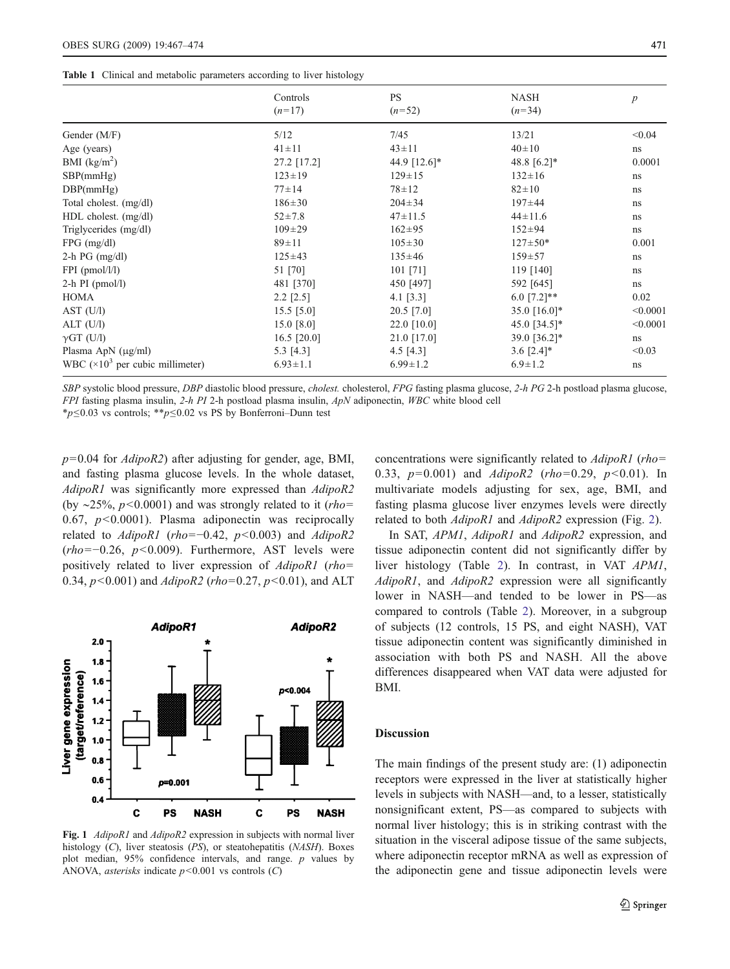<span id="page-4-0"></span>

|  |  | Table 1 Clinical and metabolic parameters according to liver histology |  |  |
|--|--|------------------------------------------------------------------------|--|--|
|--|--|------------------------------------------------------------------------|--|--|

|                                          | Controls       | PS             | <b>NASH</b>                | $\boldsymbol{p}$ |
|------------------------------------------|----------------|----------------|----------------------------|------------------|
|                                          | $(n=17)$       | $(n=52)$       | $(n=34)$                   |                  |
| Gender (M/F)                             | 5/12           | 7/45           | 13/21                      | < 0.04           |
| Age (years)                              | $41 \pm 11$    | $43 \pm 11$    | $40 \pm 10$                | ns               |
| BMI $(kg/m2)$                            | 27.2 [17.2]    | 44.9 [12.6]*   | 48.8 $[6.2]*$              | 0.0001           |
| SBP(mmHg)                                | $123 \pm 19$   | $129 \pm 15$   | $132 \pm 16$               | ns               |
| DBP(mmHg)                                | $77 + 14$      | $78 + 12$      | $82 \pm 10$                | ns               |
| Total cholest. (mg/dl)                   | $186 \pm 30$   | $204 \pm 34$   | $197 \pm 44$               | ns               |
| $HDL$ cholest. $(mg/dl)$                 | $52 \pm 7.8$   | $47 \pm 11.5$  | $44 \pm 11.6$              | ns               |
| Triglycerides (mg/dl)                    | $109 \pm 29$   | $162 \pm 95$   | $152 \pm 94$               | ns               |
| $FPG$ (mg/dl)                            | $89 \pm 11$    | $105 \pm 30$   | $127 \pm 50*$              | 0.001            |
| $2-h$ PG (mg/dl)                         | $125 \pm 43$   | $135 \pm 46$   | $159 + 57$                 | ns               |
| $FPI$ (pmol/l/l)                         | 51 [70]        | 101 [71]       | 119 [140]                  | ns               |
| $2-h$ PI (pmol/l)                        | 481 [370]      | 450 [497]      | 592 [645]                  | ns               |
| <b>HOMA</b>                              | $2.2$ [2.5]    | 4.1 $[3.3]$    | 6.0 $[7.2]$ **             | 0.02             |
| AST (U/l)                                | $15.5$ [5.0]   | $20.5$ [7.0]   | 35.0 [16.0]*               | < 0.0001         |
| ALT (U/l)                                | 15.0 $[8.0]$   | 22.0 [10.0]    | 45.0 $[34.5]$ <sup>*</sup> | < 0.0001         |
| $\gamma$ GT (U/I)                        | 16.5 $[20.0]$  | 21.0 [17.0]    | 39.0 [36.2]*               | ns               |
| Plasma ApN $(\mu g/ml)$                  | 5.3 $[4.3]$    | 4.5 $[4.3]$    | 3.6 $[2.4]$ *              | < 0.03           |
| WBC $(\times 10^3$ per cubic millimeter) | $6.93 \pm 1.1$ | $6.99 \pm 1.2$ | $6.9 \pm 1.2$              | ns               |

SBP systolic blood pressure, DBP diastolic blood pressure, cholest. cholesterol, FPG fasting plasma glucose, 2-h PG 2-h postload plasma glucose, FPI fasting plasma insulin, 2-h PI 2-h postload plasma insulin, ApN adiponectin, WBC white blood cell

\*p≤0.03 vs controls; \*\*p≤0.02 vs PS by Bonferroni–Dunn test

 $p=0.04$  for  $AdipoR2$ ) after adjusting for gender, age, BMI, and fasting plasma glucose levels. In the whole dataset, AdipoR1 was significantly more expressed than AdipoR2 (by ~25%,  $p$ <0.0001) and was strongly related to it (*rho*= 0.67,  $p<0.0001$ ). Plasma adiponectin was reciprocally related to  $AdipoR1$  (rho=−0.42, p<0.003) and  $AdipoR2$  $(rho=-0.26, p<0.009)$ . Furthermore, AST levels were positively related to liver expression of AdipoR1 (rho= 0.34,  $p$ <0.001) and *AdipoR2* (rho=0.27,  $p$ <0.01), and ALT



Fig. 1 AdipoR1 and AdipoR2 expression in subjects with normal liver histology (C), liver steatosis (PS), or steatohepatitis (NASH). Boxes plot median, 95% confidence intervals, and range. p values by ANOVA, *asterisks* indicate  $p < 0.001$  vs controls (C)

concentrations were significantly related to AdipoR1 (rho= 0.33,  $p=0.001$ ) and  $AdipoR2$  (rho=0.29,  $p<0.01$ ). In multivariate models adjusting for sex, age, BMI, and fasting plasma glucose liver enzymes levels were directly related to both *AdipoR1* and *AdipoR2* expression (Fig. [2\)](#page-5-0).

In SAT, APM1, AdipoR1 and AdipoR2 expression, and tissue adiponectin content did not significantly differ by liver histology (Table [2](#page-5-0)). In contrast, in VAT APM1, AdipoR1, and AdipoR2 expression were all significantly lower in NASH—and tended to be lower in PS—as compared to controls (Table [2\)](#page-5-0). Moreover, in a subgroup of subjects (12 controls, 15 PS, and eight NASH), VAT tissue adiponectin content was significantly diminished in association with both PS and NASH. All the above differences disappeared when VAT data were adjusted for BMI.

# Discussion

The main findings of the present study are: (1) adiponectin receptors were expressed in the liver at statistically higher levels in subjects with NASH—and, to a lesser, statistically nonsignificant extent, PS—as compared to subjects with normal liver histology; this is in striking contrast with the situation in the visceral adipose tissue of the same subjects, where adiponectin receptor mRNA as well as expression of the adiponectin gene and tissue adiponectin levels were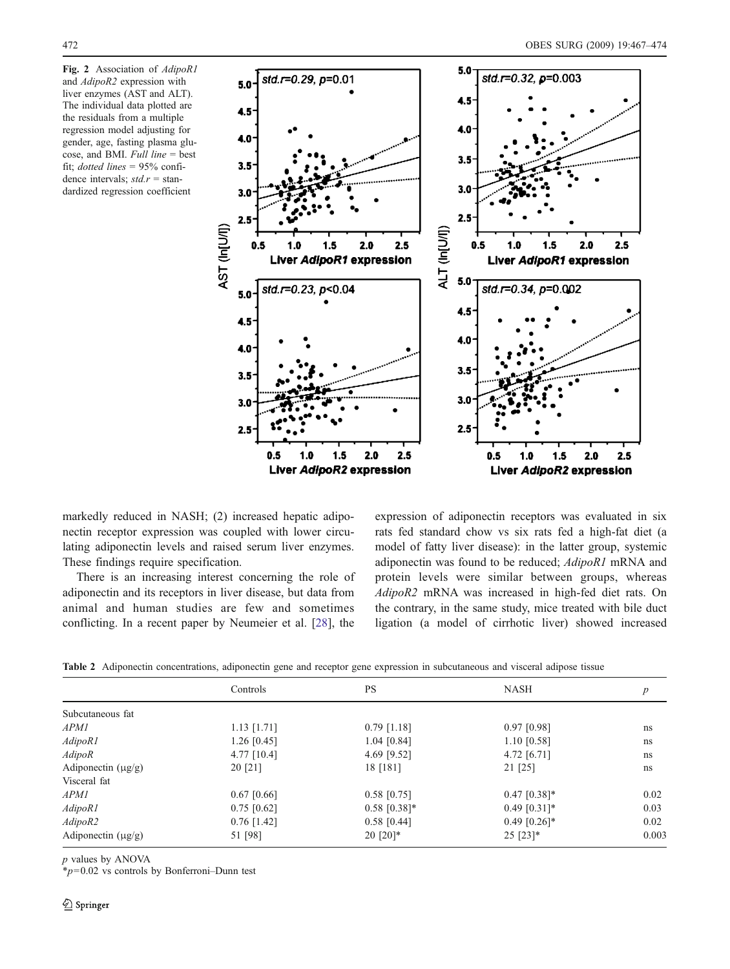<span id="page-5-0"></span>Fig. 2 Association of AdipoR1 and AdipoR2 expression with liver enzymes (AST and ALT). The individual data plotted are the residuals from a multiple regression model adjusting for gender, age, fasting plasma glucose, and BMI. Full line = best fit; dotted lines  $= 95\%$  confidence intervals;  $std.r = stan$ dardized regression coefficient



markedly reduced in NASH; (2) increased hepatic adiponectin receptor expression was coupled with lower circulating adiponectin levels and raised serum liver enzymes. These findings require specification.

There is an increasing interest concerning the role of adiponectin and its receptors in liver disease, but data from animal and human studies are few and sometimes conflicting. In a recent paper by Neumeier et al. [[28\]](#page-7-0), the

expression of adiponectin receptors was evaluated in six rats fed standard chow vs six rats fed a high-fat diet (a model of fatty liver disease): in the latter group, systemic adiponectin was found to be reduced; AdipoR1 mRNA and protein levels were similar between groups, whereas AdipoR2 mRNA was increased in high-fed diet rats. On the contrary, in the same study, mice treated with bile duct ligation (a model of cirrhotic liver) showed increased

Table 2 Adiponectin concentrations, adiponectin gene and receptor gene expression in subcutaneous and visceral adipose tissue

|                         | Controls      | <b>PS</b>      | <b>NASH</b>    | $\boldsymbol{p}$ |
|-------------------------|---------------|----------------|----------------|------------------|
| Subcutaneous fat        |               |                |                |                  |
| <i>APM1</i>             | $1.13$ [1.71] | $0.79$ [1.18]  | $0.97$ [0.98]  | ns               |
| AdipoR1                 | $1.26$ [0.45] | $1.04$ [0.84]  | $1.10$ [0.58]  | ns               |
| AdipoR                  | 4.77 $[10.4]$ | 4.69 [9.52]    | 4.72 $[6.71]$  | ns               |
| Adiponectin $(\mu g/g)$ | 20 [21]       | 18 [181]       | 21 [25]        | ns               |
| Visceral fat            |               |                |                |                  |
| APM1                    | $0.67$ [0.66] | $0.58$ [0.75]  | $0.47$ [0.38]* | 0.02             |
| AdipoR1                 | $0.75$ [0.62] | $0.58$ [0.38]* | $0.49$ [0.31]* | 0.03             |
| AdipoR2                 | $0.76$ [1.42] | $0.58$ [0.44]  | $0.49$ [0.26]* | 0.02             |
| Adiponectin $(\mu g/g)$ | 51 [98]       | $20$ [20]*     | $25$ [23]*     | 0.003            |

p values by ANOVA

 $*_{p}=0.02$  vs controls by Bonferroni–Dunn test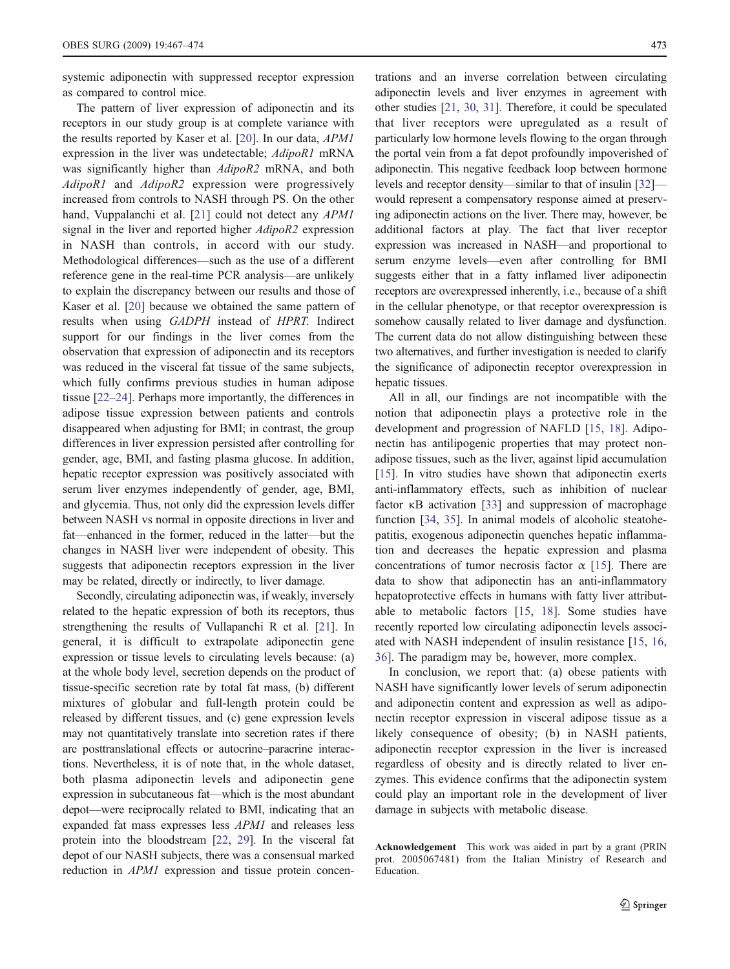systemic adiponectin with suppressed receptor expression as compared to control mice.

The pattern of liver expression of adiponectin and its receptors in our study group is at complete variance with the results reported by Kaser et al. [[20\]](#page-7-0). In our data, APM1 expression in the liver was undetectable; AdipoR1 mRNA was significantly higher than AdipoR2 mRNA, and both AdipoR1 and AdipoR2 expression were progressively increased from controls to NASH through PS. On the other hand, Vuppalanchi et al. [[21\]](#page-7-0) could not detect any APM1 signal in the liver and reported higher AdipoR2 expression in NASH than controls, in accord with our study. Methodological differences—such as the use of a different reference gene in the real-time PCR analysis—are unlikely to explain the discrepancy between our results and those of Kaser et al. [\[20](#page-7-0)] because we obtained the same pattern of results when using GADPH instead of HPRT. Indirect support for our findings in the liver comes from the observation that expression of adiponectin and its receptors was reduced in the visceral fat tissue of the same subjects, which fully confirms previous studies in human adipose tissue [\[22](#page-7-0)–[24](#page-7-0)]. Perhaps more importantly, the differences in adipose tissue expression between patients and controls disappeared when adjusting for BMI; in contrast, the group differences in liver expression persisted after controlling for gender, age, BMI, and fasting plasma glucose. In addition, hepatic receptor expression was positively associated with serum liver enzymes independently of gender, age, BMI, and glycemia. Thus, not only did the expression levels differ between NASH vs normal in opposite directions in liver and fat—enhanced in the former, reduced in the latter—but the changes in NASH liver were independent of obesity. This suggests that adiponectin receptors expression in the liver may be related, directly or indirectly, to liver damage.

Secondly, circulating adiponectin was, if weakly, inversely related to the hepatic expression of both its receptors, thus strengthening the results of Vullapanchi R et al. [\[21](#page-7-0)]. In general, it is difficult to extrapolate adiponectin gene expression or tissue levels to circulating levels because: (a) at the whole body level, secretion depends on the product of tissue-specific secretion rate by total fat mass, (b) different mixtures of globular and full-length protein could be released by different tissues, and (c) gene expression levels may not quantitatively translate into secretion rates if there are posttranslational effects or autocrine–paracrine interactions. Nevertheless, it is of note that, in the whole dataset, both plasma adiponectin levels and adiponectin gene expression in subcutaneous fat—which is the most abundant depot—were reciprocally related to BMI, indicating that an expanded fat mass expresses less APM1 and releases less protein into the bloodstream [\[22](#page-7-0), [29\]](#page-7-0). In the visceral fat depot of our NASH subjects, there was a consensual marked reduction in APM1 expression and tissue protein concen-

trations and an inverse correlation between circulating adiponectin levels and liver enzymes in agreement with other studies [[21,](#page-7-0) [30](#page-7-0), [31](#page-7-0)]. Therefore, it could be speculated that liver receptors were upregulated as a result of particularly low hormone levels flowing to the organ through the portal vein from a fat depot profoundly impoverished of adiponectin. This negative feedback loop between hormone levels and receptor density—similar to that of insulin [\[32](#page-7-0)] would represent a compensatory response aimed at preserving adiponectin actions on the liver. There may, however, be additional factors at play. The fact that liver receptor expression was increased in NASH—and proportional to serum enzyme levels—even after controlling for BMI suggests either that in a fatty inflamed liver adiponectin receptors are overexpressed inherently, i.e., because of a shift in the cellular phenotype, or that receptor overexpression is somehow causally related to liver damage and dysfunction. The current data do not allow distinguishing between these two alternatives, and further investigation is needed to clarify the significance of adiponectin receptor overexpression in hepatic tissues.

All in all, our findings are not incompatible with the notion that adiponectin plays a protective role in the development and progression of NAFLD [[15,](#page-7-0) [18\]](#page-7-0). Adiponectin has antilipogenic properties that may protect nonadipose tissues, such as the liver, against lipid accumulation [\[15](#page-7-0)]. In vitro studies have shown that adiponectin exerts anti-inflammatory effects, such as inhibition of nuclear factor κB activation [\[33](#page-7-0)] and suppression of macrophage function [\[34](#page-7-0), [35](#page-7-0)]. In animal models of alcoholic steatohepatitis, exogenous adiponectin quenches hepatic inflammation and decreases the hepatic expression and plasma concentrations of tumor necrosis factor  $\alpha$  [\[15](#page-7-0)]. There are data to show that adiponectin has an anti-inflammatory hepatoprotective effects in humans with fatty liver attributable to metabolic factors [\[15](#page-7-0), [18\]](#page-7-0). Some studies have recently reported low circulating adiponectin levels associated with NASH independent of insulin resistance [[15,](#page-7-0) [16,](#page-7-0) [36](#page-7-0)]. The paradigm may be, however, more complex.

In conclusion, we report that: (a) obese patients with NASH have significantly lower levels of serum adiponectin and adiponectin content and expression as well as adiponectin receptor expression in visceral adipose tissue as a likely consequence of obesity; (b) in NASH patients, adiponectin receptor expression in the liver is increased regardless of obesity and is directly related to liver enzymes. This evidence confirms that the adiponectin system could play an important role in the development of liver damage in subjects with metabolic disease.

Acknowledgement This work was aided in part by a grant (PRIN prot. 2005067481) from the Italian Ministry of Research and Education.